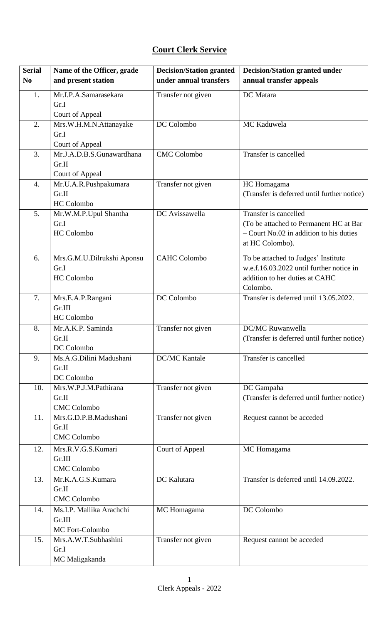## **Court Clerk Service**

| <b>Serial</b>  | Name of the Officer, grade                   | <b>Decision/Station granted</b> | <b>Decision/Station granted under</b>       |
|----------------|----------------------------------------------|---------------------------------|---------------------------------------------|
| N <sub>0</sub> | and present station                          | under annual transfers          | annual transfer appeals                     |
| 1.             | Mr.I.P.A.Samarasekara                        | Transfer not given              | DC Matara                                   |
|                | Gr.I                                         |                                 |                                             |
|                | Court of Appeal                              |                                 |                                             |
| 2.             | Mrs.W.H.M.N.Attanayake                       | DC Colombo                      | MC Kaduwela                                 |
|                | Gr.I                                         |                                 |                                             |
| 3.             | Court of Appeal<br>Mr.J.A.D.B.S.Gunawardhana | <b>CMC</b> Colombo              | Transfer is cancelled                       |
|                | Gr.II                                        |                                 |                                             |
|                | Court of Appeal                              |                                 |                                             |
| 4.             | Mr.U.A.R.Pushpakumara                        | Transfer not given              | HC Homagama                                 |
|                | Gr.II                                        |                                 | (Transfer is deferred until further notice) |
|                | HC Colombo                                   |                                 |                                             |
| 5.             | Mr.W.M.P.Upul Shantha                        | DC Avissawella                  | Transfer is cancelled                       |
|                | Gr.I                                         |                                 | (To be attached to Permanent HC at Bar      |
|                | <b>HC</b> Colombo                            |                                 | $-$ Court No.02 in addition to his duties   |
|                |                                              |                                 | at HC Colombo).                             |
| 6.             | Mrs.G.M.U.Dilrukshi Aponsu                   | <b>CAHC Colombo</b>             | To be attached to Judges' Institute         |
|                | Gr.I                                         |                                 | w.e.f.16.03.2022 until further notice in    |
|                | HC Colombo                                   |                                 | addition to her duties at CAHC              |
|                |                                              |                                 | Colombo.                                    |
| 7.             | Mrs.E.A.P.Rangani                            | DC Colombo                      | Transfer is deferred until 13.05.2022.      |
|                | Gr.III                                       |                                 |                                             |
|                | HC Colombo                                   |                                 |                                             |
| 8.             | Mr.A.K.P. Saminda                            | Transfer not given              | DC/MC Ruwanwella                            |
|                | Gr.II                                        |                                 | (Transfer is deferred until further notice) |
| 9.             | DC Colombo<br>Ms.A.G.Dilini Madushani        | <b>DC/MC Kantale</b>            | Transfer is cancelled                       |
|                | Gr.II                                        |                                 |                                             |
|                | DC Colombo                                   |                                 |                                             |
| 10.            | Mrs.W.P.J.M.Pathirana                        | Transfer not given              | DC Gampaha                                  |
|                | Gr.II                                        |                                 | (Transfer is deferred until further notice) |
|                | <b>CMC</b> Colombo                           |                                 |                                             |
| 11.            | Mrs.G.D.P.B.Madushani                        | Transfer not given              | Request cannot be acceded                   |
|                | Gr.II                                        |                                 |                                             |
|                | <b>CMC</b> Colombo                           |                                 |                                             |
| 12.            | Mrs.R.V.G.S.Kumari                           | Court of Appeal                 | MC Homagama                                 |
|                | Gr.III                                       |                                 |                                             |
|                | <b>CMC</b> Colombo                           |                                 |                                             |
| 13.            | Mr.K.A.G.S.Kumara                            | DC Kalutara                     | Transfer is deferred until 14.09.2022.      |
|                | Gr.II                                        |                                 |                                             |
|                | <b>CMC</b> Colombo                           |                                 |                                             |
| 14.            | Ms.I.P. Mallika Arachchi                     | MC Homagama                     | DC Colombo                                  |
|                | Gr.III                                       |                                 |                                             |
| 15.            | MC Fort-Colombo<br>Mrs.A.W.T.Subhashini      | Transfer not given              | Request cannot be acceded                   |
|                | Gr.I                                         |                                 |                                             |
|                | MC Maligakanda                               |                                 |                                             |
|                |                                              |                                 |                                             |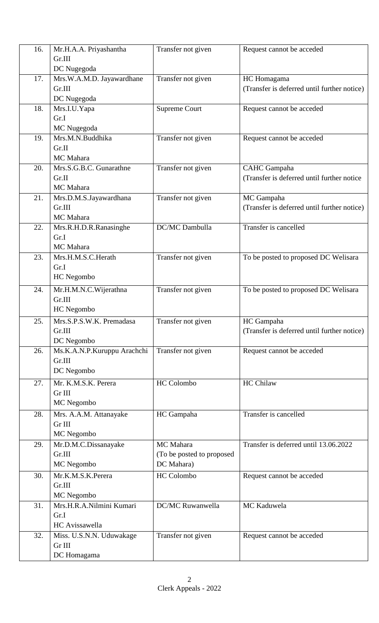| 16. | Mr.H.A.A. Priyashantha      | Transfer not given        | Request cannot be acceded                   |
|-----|-----------------------------|---------------------------|---------------------------------------------|
|     | Gr.III                      |                           |                                             |
|     | DC Nugegoda                 |                           |                                             |
| 17. | Mrs.W.A.M.D. Jayawardhane   | Transfer not given        | HC Homagama                                 |
|     | Gr.III                      |                           | (Transfer is deferred until further notice) |
|     | DC Nugegoda                 |                           |                                             |
| 18. | Mrs.I.U.Yapa                | <b>Supreme Court</b>      | Request cannot be acceded                   |
|     | Gr.I                        |                           |                                             |
|     | MC Nugegoda                 |                           |                                             |
| 19. | Mrs.M.N.Buddhika            | Transfer not given        | Request cannot be acceded                   |
|     | Gr.II                       |                           |                                             |
|     | MC Mahara                   |                           |                                             |
| 20. | Mrs.S.G.B.C. Gunarathne     | Transfer not given        | <b>CAHC</b> Gampaha                         |
|     | Gr.II                       |                           | (Transfer is deferred until further notice  |
|     | MC Mahara                   |                           |                                             |
| 21. | Mrs.D.M.S.Jayawardhana      | Transfer not given        | MC Gampaha                                  |
|     | Gr.III                      |                           | (Transfer is deferred until further notice) |
|     | MC Mahara                   |                           |                                             |
| 22. | Mrs.R.H.D.R.Ranasinghe      | DC/MC Dambulla            | Transfer is cancelled                       |
|     | Gr.I<br>MC Mahara           |                           |                                             |
| 23. | Mrs.H.M.S.C.Herath          | Transfer not given        | To be posted to proposed DC Welisara        |
|     | Gr.I                        |                           |                                             |
|     | HC Negombo                  |                           |                                             |
|     |                             |                           |                                             |
| 24. | Mr.H.M.N.C.Wijerathna       | Transfer not given        | To be posted to proposed DC Welisara        |
|     | Gr.III                      |                           |                                             |
|     | HC Negombo                  |                           |                                             |
| 25. | Mrs.S.P.S.W.K. Premadasa    | Transfer not given        | HC Gampaha                                  |
|     | Gr.III                      |                           | (Transfer is deferred until further notice) |
|     | DC Negombo                  |                           |                                             |
| 26. | Ms.K.A.N.P.Kuruppu Arachchi | Transfer not given        | Request cannot be acceded                   |
|     | Gr.III                      |                           |                                             |
|     | DC Negombo                  |                           |                                             |
| 27. | Mr. K.M.S.K. Perera         | <b>HC</b> Colombo         | <b>HC Chilaw</b>                            |
|     | Gr III                      |                           |                                             |
|     | MC Negombo                  |                           |                                             |
| 28. | Mrs. A.A.M. Attanayake      | HC Gampaha                | Transfer is cancelled                       |
|     | Gr III                      |                           |                                             |
|     | MC Negombo                  |                           |                                             |
| 29. | Mr.D.M.C.Dissanayake        | MC Mahara                 | Transfer is deferred until 13.06.2022       |
|     | Gr.III                      | (To be posted to proposed |                                             |
|     | MC Negombo                  | DC Mahara)                |                                             |
| 30. | Mr.K.M.S.K.Perera           | HC Colombo                | Request cannot be acceded                   |
|     | Gr.III                      |                           |                                             |
|     | MC Negombo                  |                           |                                             |
| 31. | Mrs.H.R.A.Nilmini Kumari    | DC/MC Ruwanwella          | MC Kaduwela                                 |
|     | Gr.I                        |                           |                                             |
|     | HC Avissawella              |                           |                                             |
| 32. | Miss. U.S.N.N. Uduwakage    | Transfer not given        | Request cannot be acceded                   |
|     | Gr III                      |                           |                                             |
|     | DC Homagama                 |                           |                                             |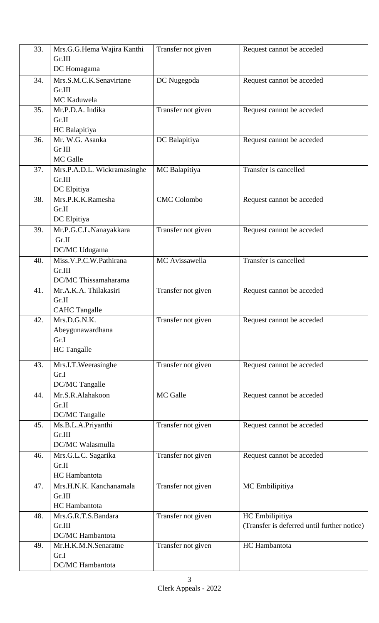| 33. | Mrs.G.G.Hema Wajira Kanthi  | Transfer not given | Request cannot be acceded                   |
|-----|-----------------------------|--------------------|---------------------------------------------|
|     | Gr.III                      |                    |                                             |
|     | DC Homagama                 |                    |                                             |
| 34. | Mrs.S.M.C.K.Senavirtane     | DC Nugegoda        | Request cannot be acceded                   |
|     | Gr.III                      |                    |                                             |
|     | MC Kaduwela                 |                    |                                             |
| 35. | Mr.P.D.A. Indika            |                    |                                             |
|     | Gr.II                       | Transfer not given | Request cannot be acceded                   |
|     |                             |                    |                                             |
|     | HC Balapitiya               |                    |                                             |
| 36. | Mr. W.G. Asanka             | DC Balapitiya      | Request cannot be acceded                   |
|     | Gr III                      |                    |                                             |
|     | MC Galle                    |                    |                                             |
| 37. | Mrs.P.A.D.L. Wickramasinghe | MC Balapitiya      | Transfer is cancelled                       |
|     | Gr.III                      |                    |                                             |
|     | DC Elpitiya                 |                    |                                             |
| 38. | Mrs.P.K.K.Ramesha           | <b>CMC</b> Colombo | Request cannot be acceded                   |
|     | Gr.II                       |                    |                                             |
|     | DC Elpitiya                 |                    |                                             |
| 39. | Mr.P.G.C.L.Nanayakkara      | Transfer not given | Request cannot be acceded                   |
|     | Gr.II                       |                    |                                             |
|     | DC/MC Udugama               |                    |                                             |
| 40. | Miss.V.P.C.W.Pathirana      | MC Avissawella     | Transfer is cancelled                       |
|     | Gr.III                      |                    |                                             |
|     | DC/MC Thissamaharama        |                    |                                             |
| 41. | Mr.A.K.A. Thilakasiri       | Transfer not given | Request cannot be acceded                   |
|     | Gr.II                       |                    |                                             |
|     | <b>CAHC Tangalle</b>        |                    |                                             |
| 42. | Mrs.D.G.N.K.                | Transfer not given |                                             |
|     | Abeygunawardhana            |                    | Request cannot be acceded                   |
|     | Gr.I                        |                    |                                             |
|     | HC Tangalle                 |                    |                                             |
|     |                             |                    |                                             |
| 43. | Mrs.I.T.Weerasinghe         | Transfer not given | Request cannot be acceded                   |
|     | Gr.I                        |                    |                                             |
|     | DC/MC Tangalle              |                    |                                             |
| 44. | Mr.S.R.Alahakoon            | MC Galle           | Request cannot be acceded                   |
|     | Gr.II                       |                    |                                             |
|     | DC/MC Tangalle              |                    |                                             |
| 45. | Ms.B.L.A.Priyanthi          | Transfer not given | Request cannot be acceded                   |
|     | Gr.III                      |                    |                                             |
|     | DC/MC Walasmulla            |                    |                                             |
| 46. | Mrs.G.L.C. Sagarika         | Transfer not given | Request cannot be acceded                   |
|     | Gr.II                       |                    |                                             |
|     | HC Hambantota               |                    |                                             |
|     |                             |                    |                                             |
| 47. | Mrs.H.N.K. Kanchanamala     | Transfer not given | MC Embilipitiya                             |
|     | Gr.III                      |                    |                                             |
|     | HC Hambantota               |                    |                                             |
| 48. | Mrs.G.R.T.S.Bandara         | Transfer not given | HC Embilipitiya                             |
|     | Gr.III                      |                    | (Transfer is deferred until further notice) |
|     | DC/MC Hambantota            |                    |                                             |
| 49. | Mr.H.K.M.N.Senaratne        | Transfer not given | HC Hambantota                               |
|     | Gr.I                        |                    |                                             |
|     | DC/MC Hambantota            |                    |                                             |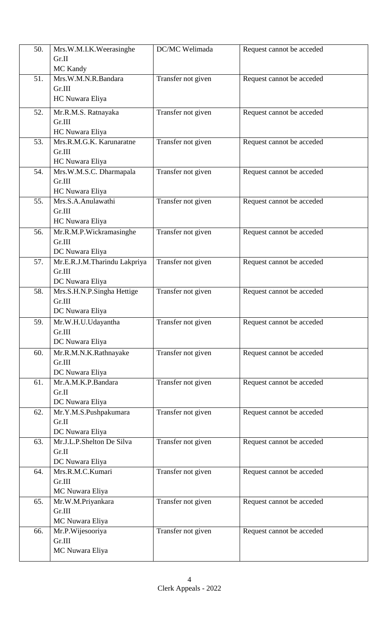| 50. | Mrs.W.M.I.K.Weerasinghe                  | DC/MC Welimada     | Request cannot be acceded |
|-----|------------------------------------------|--------------------|---------------------------|
|     | Gr.II                                    |                    |                           |
|     | MC Kandy                                 |                    |                           |
| 51. | Mrs.W.M.N.R.Bandara                      | Transfer not given | Request cannot be acceded |
|     | Gr.III                                   |                    |                           |
|     | HC Nuwara Eliya                          |                    |                           |
| 52. | Mr.R.M.S. Ratnayaka                      | Transfer not given | Request cannot be acceded |
|     | Gr.III                                   |                    |                           |
|     | HC Nuwara Eliya                          |                    |                           |
| 53. | Mrs.R.M.G.K. Karunaratne                 | Transfer not given | Request cannot be acceded |
|     | Gr.III                                   |                    |                           |
|     | HC Nuwara Eliya                          |                    |                           |
| 54. | Mrs.W.M.S.C. Dharmapala                  | Transfer not given | Request cannot be acceded |
|     | Gr.III                                   |                    |                           |
|     | HC Nuwara Eliya                          |                    |                           |
| 55. | Mrs.S.A.Anulawathi                       | Transfer not given | Request cannot be acceded |
|     | Gr.III                                   |                    |                           |
|     | HC Nuwara Eliya                          |                    |                           |
| 56. | Mr.R.M.P.Wickramasinghe<br>Gr.III        | Transfer not given | Request cannot be acceded |
|     | DC Nuwara Eliya                          |                    |                           |
| 57. | Mr.E.R.J.M.Tharindu Lakpriya             | Transfer not given | Request cannot be acceded |
|     | Gr.III                                   |                    |                           |
|     | DC Nuwara Eliya                          |                    |                           |
| 58. | Mrs.S.H.N.P.Singha Hettige               | Transfer not given | Request cannot be acceded |
|     | Gr.III                                   |                    |                           |
|     | DC Nuwara Eliya                          |                    |                           |
| 59. | Mr.W.H.U.Udayantha                       | Transfer not given | Request cannot be acceded |
|     | Gr.III                                   |                    |                           |
|     | DC Nuwara Eliya                          |                    |                           |
| 60. | Mr.R.M.N.K.Rathnayake                    | Transfer not given | Request cannot be acceded |
|     | Gr.III                                   |                    |                           |
|     | DC Nuwara Eliya                          |                    |                           |
| 61. | Mr.A.M.K.P.Bandara                       | Transfer not given | Request cannot be acceded |
|     | Gr.II                                    |                    |                           |
| 62. | DC Nuwara Eliya<br>Mr.Y.M.S.Pushpakumara | Transfer not given | Request cannot be acceded |
|     | Gr.II                                    |                    |                           |
|     | DC Nuwara Eliya                          |                    |                           |
| 63. | Mr.J.L.P.Shelton De Silva                | Transfer not given | Request cannot be acceded |
|     | Gr.II                                    |                    |                           |
|     | DC Nuwara Eliya                          |                    |                           |
| 64. | Mrs.R.M.C.Kumari                         | Transfer not given | Request cannot be acceded |
|     | Gr.III                                   |                    |                           |
|     | MC Nuwara Eliya                          |                    |                           |
| 65. | Mr.W.M.Priyankara                        | Transfer not given | Request cannot be acceded |
|     | Gr.III                                   |                    |                           |
|     | MC Nuwara Eliya                          |                    |                           |
| 66. | Mr.P.Wijesooriya                         | Transfer not given | Request cannot be acceded |
|     | Gr.III                                   |                    |                           |
|     | MC Nuwara Eliya                          |                    |                           |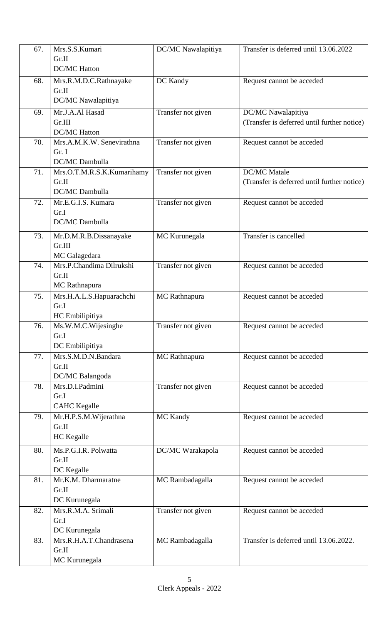| 67. | Mrs.S.S.Kumari             | DC/MC Nawalapitiya | Transfer is deferred until 13.06.2022       |
|-----|----------------------------|--------------------|---------------------------------------------|
|     | Gr.II                      |                    |                                             |
|     | <b>DC/MC Hatton</b>        |                    |                                             |
| 68. | Mrs.R.M.D.C.Rathnayake     | DC Kandy           | Request cannot be acceded                   |
|     | Gr.II                      |                    |                                             |
|     | DC/MC Nawalapitiya         |                    |                                             |
| 69. | Mr.J.A.Al Hasad            | Transfer not given | DC/MC Nawalapitiya                          |
|     | Gr.III                     |                    | (Transfer is deferred until further notice) |
|     | <b>DC/MC Hatton</b>        |                    |                                             |
| 70. | Mrs.A.M.K.W. Senevirathna  | Transfer not given | Request cannot be acceded                   |
|     | Gr. I                      |                    |                                             |
|     | <b>DC/MC</b> Dambulla      |                    |                                             |
| 71. | Mrs.O.T.M.R.S.K.Kumarihamy | Transfer not given | <b>DC/MC</b> Matale                         |
|     | Gr.II                      |                    | (Transfer is deferred until further notice) |
|     | <b>DC/MC</b> Dambulla      |                    |                                             |
| 72. | Mr.E.G.I.S. Kumara         | Transfer not given | Request cannot be acceded                   |
|     | Gr.I                       |                    |                                             |
|     | <b>DC/MC</b> Dambulla      |                    |                                             |
| 73. | Mr.D.M.R.B.Dissanayake     | MC Kurunegala      | Transfer is cancelled                       |
|     | Gr.III                     |                    |                                             |
|     | MC Galagedara              |                    |                                             |
| 74. | Mrs.P.Chandima Dilrukshi   | Transfer not given | Request cannot be acceded                   |
|     | Gr.II                      |                    |                                             |
|     | MC Rathnapura              |                    |                                             |
| 75. | Mrs.H.A.L.S.Hapuarachchi   | MC Rathnapura      | Request cannot be acceded                   |
|     | Gr.I                       |                    |                                             |
|     | HC Embilipitiya            |                    |                                             |
| 76. | Ms.W.M.C.Wijesinghe        | Transfer not given | Request cannot be acceded                   |
|     | Gr.I                       |                    |                                             |
|     | DC Embilipitiya            |                    |                                             |
| 77. | Mrs.S.M.D.N.Bandara        | MC Rathnapura      | Request cannot be acceded                   |
|     | Gr.II                      |                    |                                             |
|     | DC/MC Balangoda            |                    |                                             |
| 78. | Mrs.D.I.Padmini            | Transfer not given | Request cannot be acceded                   |
|     | Gr.I                       |                    |                                             |
|     | <b>CAHC</b> Kegalle        |                    |                                             |
| 79. | Mr.H.P.S.M.Wijerathna      | MC Kandy           | Request cannot be acceded                   |
|     | Gr.II                      |                    |                                             |
|     | <b>HC</b> Kegalle          |                    |                                             |
| 80. | Ms.P.G.I.R. Polwatta       | DC/MC Warakapola   | Request cannot be acceded                   |
|     | Gr.II                      |                    |                                             |
|     | DC Kegalle                 |                    |                                             |
| 81. | Mr.K.M. Dharmaratne        | MC Rambadagalla    | Request cannot be acceded                   |
|     | Gr.II                      |                    |                                             |
|     | DC Kurunegala              |                    |                                             |
| 82. | Mrs.R.M.A. Srimali         | Transfer not given | Request cannot be acceded                   |
|     | Gr.I                       |                    |                                             |
|     | DC Kurunegala              |                    |                                             |
| 83. | Mrs.R.H.A.T.Chandrasena    | MC Rambadagalla    | Transfer is deferred until 13.06.2022.      |
|     | Gr.II                      |                    |                                             |
|     | MC Kurunegala              |                    |                                             |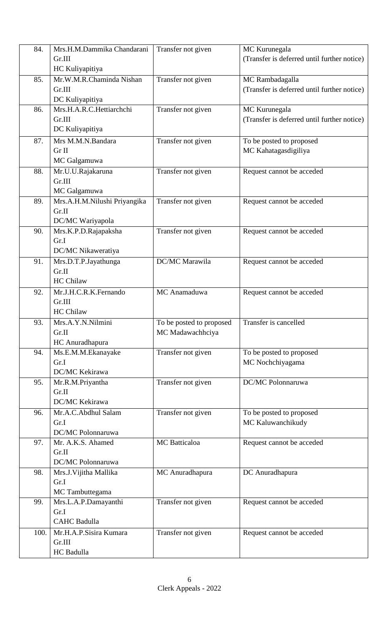| 84.  | Mrs.H.M.Dammika Chandarani   | Transfer not given       | MC Kurunegala                               |
|------|------------------------------|--------------------------|---------------------------------------------|
|      | Gr.III                       |                          | (Transfer is deferred until further notice) |
|      | HC Kuliyapitiya              |                          |                                             |
| 85.  | Mr.W.M.R.Chaminda Nishan     | Transfer not given       | MC Rambadagalla                             |
|      | Gr.III                       |                          | (Transfer is deferred until further notice) |
|      | DC Kuliyapitiya              |                          |                                             |
| 86.  | Mrs.H.A.R.C.Hettiarchchi     | Transfer not given       | MC Kurunegala                               |
|      | Gr.III                       |                          | (Transfer is deferred until further notice) |
|      | DC Kuliyapitiya              |                          |                                             |
| 87.  | Mrs M.M.N.Bandara            | Transfer not given       | To be posted to proposed                    |
|      | Gr II                        |                          | MC Kahatagasdigiliya                        |
|      | MC Galgamuwa                 |                          |                                             |
| 88.  | Mr.U.U.Rajakaruna            | Transfer not given       | Request cannot be acceded                   |
|      | Gr.III                       |                          |                                             |
|      | MC Galgamuwa                 |                          |                                             |
| 89.  | Mrs.A.H.M.Nilushi Priyangika | Transfer not given       | Request cannot be acceded                   |
|      | Gr.II                        |                          |                                             |
|      | DC/MC Wariyapola             |                          |                                             |
| 90.  | Mrs.K.P.D.Rajapaksha         | Transfer not given       | Request cannot be acceded                   |
|      | Gr.I                         |                          |                                             |
|      | DC/MC Nikaweratiya           |                          |                                             |
| 91.  | Mrs.D.T.P.Jayathunga         | DC/MC Marawila           | Request cannot be acceded                   |
|      | Gr.II                        |                          |                                             |
|      | <b>HC Chilaw</b>             |                          |                                             |
| 92.  | Mr.J.H.C.R.K.Fernando        | MC Anamaduwa             | Request cannot be acceded                   |
|      | Gr.III                       |                          |                                             |
|      | <b>HC Chilaw</b>             |                          |                                             |
| 93.  | Mrs.A.Y.N.Nilmini            | To be posted to proposed | Transfer is cancelled                       |
|      | Gr.II                        | MC Madawachhciya         |                                             |
|      | HC Anuradhapura              |                          |                                             |
| 94.  | Ms.E.M.M.Ekanayake           | Transfer not given       | To be posted to proposed                    |
|      | Gr.I                         |                          | MC Nochchiyagama                            |
|      | DC/MC Kekirawa               |                          |                                             |
| 95.  | Mr.R.M.Priyantha             | Transfer not given       | DC/MC Polonnaruwa                           |
|      | Gr.II                        |                          |                                             |
|      | DC/MC Kekirawa               |                          |                                             |
| 96.  | Mr.A.C.Abdhul Salam          | Transfer not given       | To be posted to proposed                    |
|      | Gr.I                         |                          | MC Kaluwanchikudy                           |
|      | DC/MC Polonnaruwa            |                          |                                             |
| 97.  | Mr. A.K.S. Ahamed            | <b>MC</b> Batticaloa     | Request cannot be acceded                   |
|      | Gr.II                        |                          |                                             |
|      | DC/MC Polonnaruwa            |                          |                                             |
| 98.  | Mrs.J. Vijitha Mallika       | MC Anuradhapura          | DC Anuradhapura                             |
|      | Gr.I                         |                          |                                             |
|      | MC Tambuttegama              |                          |                                             |
| 99.  | Mrs.L.A.P.Damayanthi<br>Gr.I | Transfer not given       | Request cannot be acceded                   |
|      | <b>CAHC Badulla</b>          |                          |                                             |
| 100. | Mr.H.A.P.Sisira Kumara       | Transfer not given       |                                             |
|      |                              |                          | Request cannot be acceded                   |
|      | Gr.III<br>HC Badulla         |                          |                                             |
|      |                              |                          |                                             |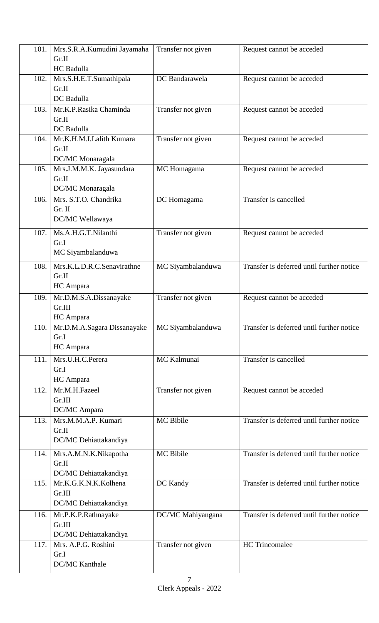| 101. | Mrs.S.R.A.Kumudini Jayamaha      | Transfer not given | Request cannot be acceded                 |
|------|----------------------------------|--------------------|-------------------------------------------|
|      | Gr.II                            |                    |                                           |
|      | HC Badulla                       |                    |                                           |
| 102. | Mrs.S.H.E.T.Sumathipala          | DC Bandarawela     | Request cannot be acceded                 |
|      | Gr.II                            |                    |                                           |
|      | DC Badulla                       |                    |                                           |
| 103. | Mr.K.P.Rasika Chaminda           | Transfer not given | Request cannot be acceded                 |
|      | Gr.II                            |                    |                                           |
|      | DC Badulla                       |                    |                                           |
| 104. | Mr.K.H.M.I.Lalith Kumara         | Transfer not given | Request cannot be acceded                 |
|      | Gr.II                            |                    |                                           |
|      | DC/MC Monaragala                 |                    |                                           |
| 105. | Mrs.J.M.M.K. Jayasundara         | MC Homagama        | Request cannot be acceded                 |
|      | Gr.II                            |                    |                                           |
|      | DC/MC Monaragala                 |                    |                                           |
| 106. | Mrs. S.T.O. Chandrika            | DC Homagama        | Transfer is cancelled                     |
|      | Gr. II                           |                    |                                           |
|      | DC/MC Wellawaya                  |                    |                                           |
| 107. | Ms.A.H.G.T.Nilanthi              | Transfer not given | Request cannot be acceded                 |
|      | Gr.I                             |                    |                                           |
|      | MC Siyambalanduwa                |                    |                                           |
| 108. | Mrs.K.L.D.R.C.Senavirathne       | MC Siyambalanduwa  | Transfer is deferred until further notice |
|      | Gr.II                            |                    |                                           |
|      | HC Ampara                        |                    |                                           |
|      |                                  | Transfer not given |                                           |
| 109. | Mr.D.M.S.A.Dissanayake<br>Gr.III |                    | Request cannot be acceded                 |
|      | HC Ampara                        |                    |                                           |
| 110. | Mr.D.M.A.Sagara Dissanayake      | MC Siyambalanduwa  | Transfer is deferred until further notice |
|      | Gr.I                             |                    |                                           |
|      | HC Ampara                        |                    |                                           |
| 111. | Mrs.U.H.C.Perera                 | MC Kalmunai        | Transfer is cancelled                     |
|      | Gr.I                             |                    |                                           |
|      | HC Ampara                        |                    |                                           |
| 112. | Mr.M.H.Fazeel                    | Transfer not given | Request cannot be acceded                 |
|      | Gr.III                           |                    |                                           |
|      | DC/MC Ampara                     |                    |                                           |
| 113. | Mrs.M.M.A.P. Kumari              | <b>MC</b> Bibile   | Transfer is deferred until further notice |
|      | Gr.II                            |                    |                                           |
|      | DC/MC Dehiattakandiya            |                    |                                           |
|      |                                  |                    |                                           |
| 114. | Mrs.A.M.N.K.Nikapotha            | MC Bibile          | Transfer is deferred until further notice |
|      | Gr.II                            |                    |                                           |
|      | DC/MC Dehiattakandiya            |                    |                                           |
| 115. | Mr.K.G.K.N.K.Kolhena             | DC Kandy           | Transfer is deferred until further notice |
|      | Gr.III                           |                    |                                           |
|      | DC/MC Dehiattakandiya            |                    |                                           |
| 116. | Mr.P.K.P.Rathnayake              | DC/MC Mahiyangana  | Transfer is deferred until further notice |
|      | Gr.III                           |                    |                                           |
|      | DC/MC Dehiattakandiya            |                    | <b>HC</b> Trincomalee                     |
| 117. | Mrs. A.P.G. Roshini<br>Gr.I      | Transfer not given |                                           |
|      | <b>DC/MC</b> Kanthale            |                    |                                           |
|      |                                  |                    |                                           |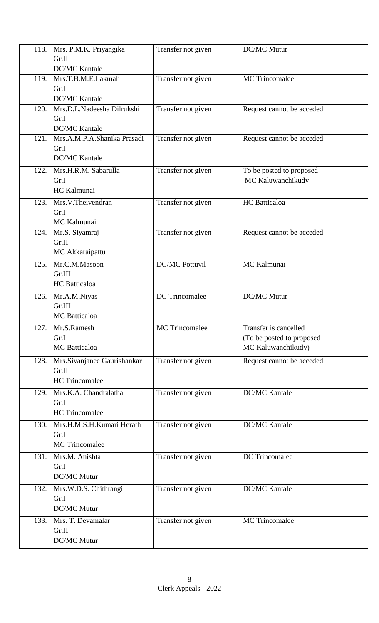| 118. | Mrs. P.M.K. Priyangika         | Transfer not given    | <b>DC/MC Mutur</b>                            |
|------|--------------------------------|-----------------------|-----------------------------------------------|
|      | Gr.II                          |                       |                                               |
|      | <b>DC/MC Kantale</b>           |                       |                                               |
| 119. | Mrs.T.B.M.E.Lakmali<br>Gr.I    | Transfer not given    | <b>MC</b> Trincomalee                         |
|      | <b>DC/MC Kantale</b>           |                       |                                               |
| 120. | Mrs.D.L.Nadeesha Dilrukshi     | Transfer not given    | Request cannot be acceded                     |
|      | Gr.I                           |                       |                                               |
|      | <b>DC/MC Kantale</b>           |                       |                                               |
| 121. | Mrs.A.M.P.A.Shanika Prasadi    | Transfer not given    | Request cannot be acceded                     |
|      | Gr.I<br><b>DC/MC Kantale</b>   |                       |                                               |
|      |                                |                       |                                               |
| 122. | Mrs.H.R.M. Sabarulla<br>Gr.I   | Transfer not given    | To be posted to proposed<br>MC Kaluwanchikudy |
|      | HC Kalmunai                    |                       |                                               |
| 123. | Mrs.V.Theivendran              | Transfer not given    | <b>HC</b> Batticaloa                          |
|      | Gr.I                           |                       |                                               |
|      | MC Kalmunai                    |                       |                                               |
| 124. | Mr.S. Siyamraj                 | Transfer not given    | Request cannot be acceded                     |
|      | Gr.II                          |                       |                                               |
|      | MC Akkaraipattu                |                       |                                               |
| 125. | Mr.C.M.Masoon                  | <b>DC/MC Pottuvil</b> | MC Kalmunai                                   |
|      | Gr.III<br><b>HC</b> Batticaloa |                       |                                               |
| 126. | Mr.A.M.Niyas                   | <b>DC</b> Trincomalee | <b>DC/MC Mutur</b>                            |
|      | Gr.III                         |                       |                                               |
|      | MC Batticaloa                  |                       |                                               |
| 127. | Mr.S.Ramesh                    | <b>MC</b> Trincomalee | Transfer is cancelled                         |
|      | Gr.I                           |                       | (To be posted to proposed                     |
|      | MC Batticaloa                  |                       | MC Kaluwanchikudy)                            |
| 128. | Mrs.Sivanjanee Gaurishankar    | Transfer not given    | Request cannot be acceded                     |
|      | Gr.II                          |                       |                                               |
|      | <b>HC</b> Trincomalee          |                       |                                               |
| 129. | Mrs.K.A. Chandralatha          | Transfer not given    | <b>DC/MC Kantale</b>                          |
|      | Gr.I<br><b>HC</b> Trincomalee  |                       |                                               |
| 130. | Mrs.H.M.S.H.Kumari Herath      | Transfer not given    | <b>DC/MC Kantale</b>                          |
|      | Gr.I                           |                       |                                               |
|      | <b>MC</b> Trincomalee          |                       |                                               |
| 131. | Mrs.M. Anishta                 | Transfer not given    | <b>DC</b> Trincomalee                         |
|      | Gr.I                           |                       |                                               |
|      | DC/MC Mutur                    |                       |                                               |
| 132. | Mrs.W.D.S. Chithrangi          | Transfer not given    | <b>DC/MC Kantale</b>                          |
|      | Gr.I                           |                       |                                               |
|      | DC/MC Mutur                    |                       |                                               |
| 133. | Mrs. T. Devamalar<br>Gr.II     | Transfer not given    | <b>MC</b> Trincomalee                         |
|      | DC/MC Mutur                    |                       |                                               |
|      |                                |                       |                                               |